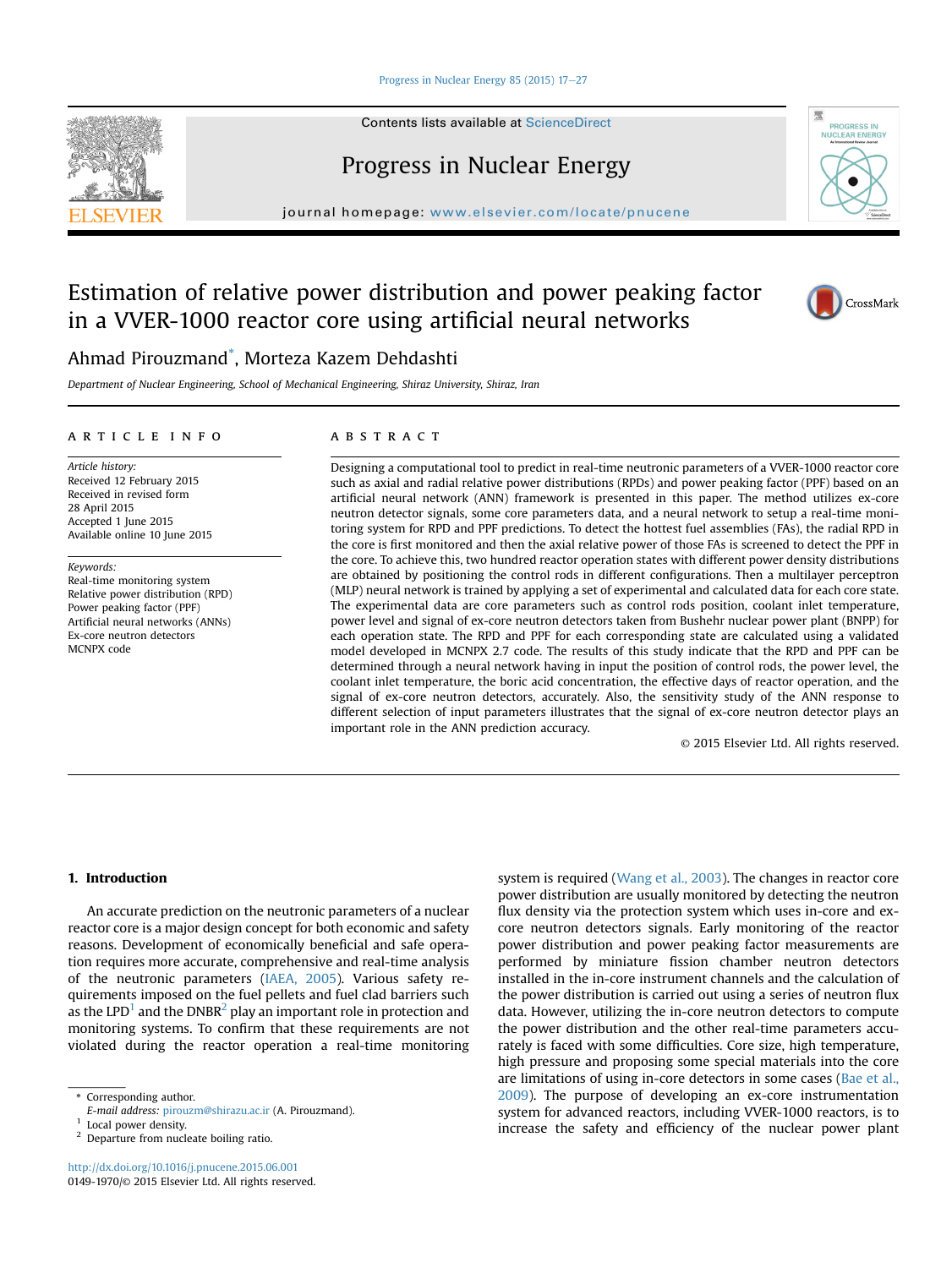#### [Progress in Nuclear Energy 85 \(2015\) 17](http://dx.doi.org/10.1016/j.pnucene.2015.06.001)-[27](http://dx.doi.org/10.1016/j.pnucene.2015.06.001)

Contents lists available at ScienceDirect

## Progress in Nuclear Energy

journal homepage: [www.elsevier.com/locate/pnucene](http://www.elsevier.com/locate/pnucene)

### Estimation of relative power distribution and power peaking factor in a VVER-1000 reactor core using artificial neural networks



Department of Nuclear Engineering, School of Mechanical Engineering, Shiraz University, Shiraz, Iran

#### article info

Article history: Received 12 February 2015 Received in revised form 28 April 2015 Accepted 1 June 2015 Available online 10 June 2015

Keywords: Real-time monitoring system Relative power distribution (RPD) Power peaking factor (PPF) Artificial neural networks (ANNs) Ex-core neutron detectors MCNPX code

#### **ABSTRACT**

Designing a computational tool to predict in real-time neutronic parameters of a VVER-1000 reactor core such as axial and radial relative power distributions (RPDs) and power peaking factor (PPF) based on an artificial neural network (ANN) framework is presented in this paper. The method utilizes ex-core neutron detector signals, some core parameters data, and a neural network to setup a real-time monitoring system for RPD and PPF predictions. To detect the hottest fuel assemblies (FAs), the radial RPD in the core is first monitored and then the axial relative power of those FAs is screened to detect the PPF in the core. To achieve this, two hundred reactor operation states with different power density distributions are obtained by positioning the control rods in different configurations. Then a multilayer perceptron (MLP) neural network is trained by applying a set of experimental and calculated data for each core state. The experimental data are core parameters such as control rods position, coolant inlet temperature, power level and signal of ex-core neutron detectors taken from Bushehr nuclear power plant (BNPP) for each operation state. The RPD and PPF for each corresponding state are calculated using a validated model developed in MCNPX 2.7 code. The results of this study indicate that the RPD and PPF can be determined through a neural network having in input the position of control rods, the power level, the coolant inlet temperature, the boric acid concentration, the effective days of reactor operation, and the signal of ex-core neutron detectors, accurately. Also, the sensitivity study of the ANN response to different selection of input parameters illustrates that the signal of ex-core neutron detector plays an important role in the ANN prediction accuracy.

© 2015 Elsevier Ltd. All rights reserved.

#### 1. Introduction

An accurate prediction on the neutronic parameters of a nuclear reactor core is a major design concept for both economic and safety reasons. Development of economically beneficial and safe operation requires more accurate, comprehensive and real-time analysis of the neutronic parameters (IAEA, 2005). Various safety requirements imposed on the fuel pellets and fuel clad barriers such as the LPD<sup>1</sup> and the DNBR<sup>2</sup> play an important role in protection and monitoring systems. To confirm that these requirements are not violated during the reactor operation a real-time monitoring system is required (Wang et al., 2003). The changes in reactor core power distribution are usually monitored by detecting the neutron flux density via the protection system which uses in-core and excore neutron detectors signals. Early monitoring of the reactor power distribution and power peaking factor measurements are performed by miniature fission chamber neutron detectors installed in the in-core instrument channels and the calculation of the power distribution is carried out using a series of neutron flux data. However, utilizing the in-core neutron detectors to compute the power distribution and the other real-time parameters accurately is faced with some difficulties. Core size, high temperature, high pressure and proposing some special materials into the core are limitations of using in-core detectors in some cases (Bae et al., 2009). The purpose of developing an ex-core instrumentation system for advanced reactors, including VVER-1000 reactors, is to increase the safety and efficiency of the nuclear power plant





**PROCRECCI** 

<sup>\*</sup> Corresponding author.

E-mail address: [pirouzm@shirazu.ac.ir](mailto:pirouzm@shirazu.ac.ir) (A. Pirouzmand).

Local power density.

<sup>&</sup>lt;sup>2</sup> Departure from nucleate boiling ratio.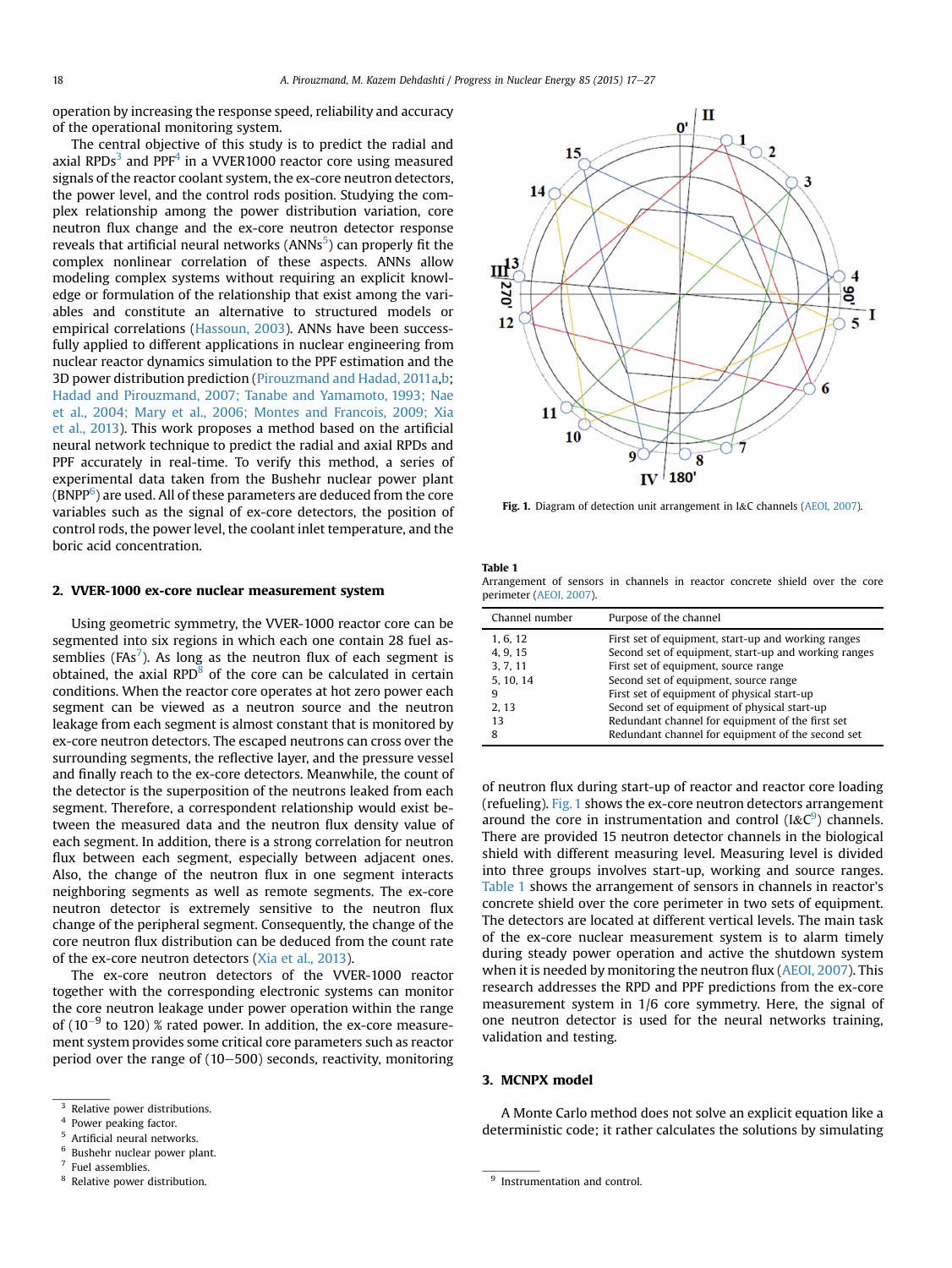operation by increasing the response speed, reliability and accuracy of the operational monitoring system.

The central objective of this study is to predict the radial and axial RPDs<sup>3</sup> and PPF<sup>4</sup> in a VVER1000 reactor core using measured signals of the reactor coolant system, the ex-core neutron detectors, the power level, and the control rods position. Studying the complex relationship among the power distribution variation, core neutron flux change and the ex-core neutron detector response reveals that artificial neural networks (ANNs $^5$ ) can properly fit the complex nonlinear correlation of these aspects. ANNs allow modeling complex systems without requiring an explicit knowledge or formulation of the relationship that exist among the variables and constitute an alternative to structured models or empirical correlations (Hassoun, 2003). ANNs have been successfully applied to different applications in nuclear engineering from nuclear reactor dynamics simulation to the PPF estimation and the 3D power distribution prediction (Pirouzmand and Hadad, 2011a,b; Hadad and Pirouzmand, 2007; Tanabe and Yamamoto, 1993; Nae et al., 2004; Mary et al., 2006; Montes and Francois, 2009; Xia et al., 2013). This work proposes a method based on the artificial neural network technique to predict the radial and axial RPDs and PPF accurately in real-time. To verify this method, a series of experimental data taken from the Bushehr nuclear power plant (BNPP $^6$ ) are used. All of these parameters are deduced from the core variables such as the signal of ex-core detectors, the position of control rods, the power level, the coolant inlet temperature, and the boric acid concentration.

#### 2. VVER-1000 ex-core nuclear measurement system

Using geometric symmetry, the VVER-1000 reactor core can be segmented into six regions in which each one contain 28 fuel assemblies (FAs<sup>7</sup>). As long as the neutron flux of each segment is obtained, the axial  $RPD^8$  of the core can be calculated in certain conditions. When the reactor core operates at hot zero power each segment can be viewed as a neutron source and the neutron leakage from each segment is almost constant that is monitored by ex-core neutron detectors. The escaped neutrons can cross over the surrounding segments, the reflective layer, and the pressure vessel and finally reach to the ex-core detectors. Meanwhile, the count of the detector is the superposition of the neutrons leaked from each segment. Therefore, a correspondent relationship would exist between the measured data and the neutron flux density value of each segment. In addition, there is a strong correlation for neutron flux between each segment, especially between adjacent ones. Also, the change of the neutron flux in one segment interacts neighboring segments as well as remote segments. The ex-core neutron detector is extremely sensitive to the neutron flux change of the peripheral segment. Consequently, the change of the core neutron flux distribution can be deduced from the count rate of the ex-core neutron detectors (Xia et al., 2013).

The ex-core neutron detectors of the VVER-1000 reactor together with the corresponding electronic systems can monitor the core neutron leakage under power operation within the range of ( $10^{-9}$  to 120) % rated power. In addition, the ex-core measurement system provides some critical core parameters such as reactor period over the range of  $(10-500)$  seconds, reactivity, monitoring



Fig. 1. Diagram of detection unit arrangement in I&C channels (AEOI, 2007).

Table 1

Arrangement of sensors in channels in reactor concrete shield over the core perimeter (AEOI, 2007).

| Channel number | Purpose of the channel                               |
|----------------|------------------------------------------------------|
| 1, 6, 12       | First set of equipment, start-up and working ranges  |
| 4, 9, 15       | Second set of equipment, start-up and working ranges |
| 3, 7, 11       | First set of equipment, source range                 |
| 5, 10, 14      | Second set of equipment, source range                |
| 9              | First set of equipment of physical start-up          |
| 2, 13          | Second set of equipment of physical start-up         |
| 13             | Redundant channel for equipment of the first set     |
| 8              | Redundant channel for equipment of the second set    |

of neutron flux during start-up of reactor and reactor core loading (refueling). Fig. 1 shows the ex-core neutron detectors arrangement around the core in instrumentation and control (I&C $^{\circ}$ ) channels. There are provided 15 neutron detector channels in the biological shield with different measuring level. Measuring level is divided into three groups involves start-up, working and source ranges. Table 1 shows the arrangement of sensors in channels in reactor's concrete shield over the core perimeter in two sets of equipment. The detectors are located at different vertical levels. The main task of the ex-core nuclear measurement system is to alarm timely during steady power operation and active the shutdown system when it is needed by monitoring the neutron flux (AEOI, 2007). This research addresses the RPD and PPF predictions from the ex-core measurement system in 1/6 core symmetry. Here, the signal of one neutron detector is used for the neural networks training, validation and testing.

#### 3. MCNPX model

A Monte Carlo method does not solve an explicit equation like a deterministic code; it rather calculates the solutions by simulating

Relative power distributions.

 $^{4}$  Power peaking factor.

<sup>5</sup> Artificial neural networks.

Bushehr nuclear power plant.

 $\frac{7}{8}$  Fuel assemblies.<br> $\frac{8}{8}$  Relative power distribution.

 $9$  Instrumentation and control.